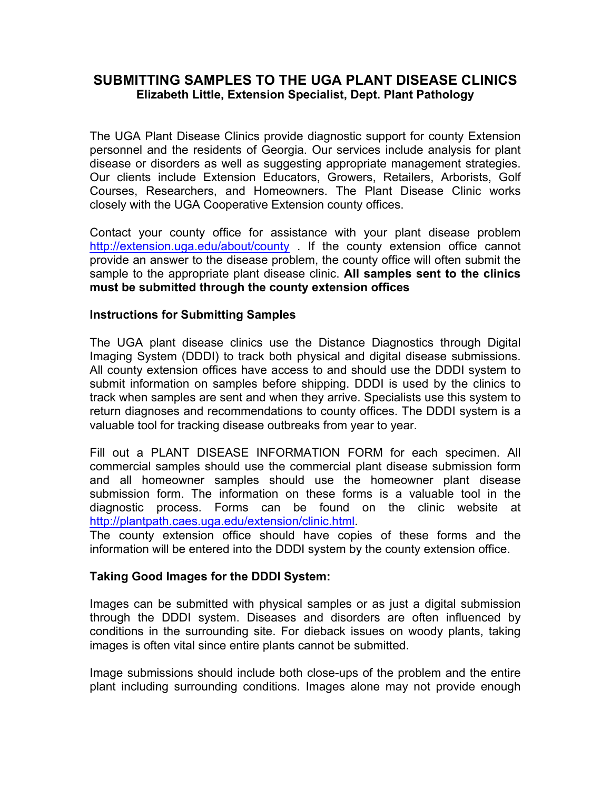## **SUBMITTING SAMPLES TO THE UGA PLANT DISEASE CLINICS Elizabeth Little, Extension Specialist, Dept. Plant Pathology**

The UGA Plant Disease Clinics provide diagnostic support for county Extension personnel and the residents of Georgia. Our services include analysis for plant disease or disorders as well as suggesting appropriate management strategies. Our clients include Extension Educators, Growers, Retailers, Arborists, Golf Courses, Researchers, and Homeowners. The Plant Disease Clinic works closely with the UGA Cooperative Extension county offices.

Contact your county office for assistance with your plant disease problem http://extension.uga.edu/about/county . If the county extension office cannot provide an answer to the disease problem, the county office will often submit the sample to the appropriate plant disease clinic. **All samples sent to the clinics must be submitted through the county extension offices**

#### **Instructions for Submitting Samples**

The UGA plant disease clinics use the Distance Diagnostics through Digital Imaging System (DDDI) to track both physical and digital disease submissions. All county extension offices have access to and should use the DDDI system to submit information on samples before shipping. DDDI is used by the clinics to track when samples are sent and when they arrive. Specialists use this system to return diagnoses and recommendations to county offices. The DDDI system is a valuable tool for tracking disease outbreaks from year to year.

Fill out a PLANT DISEASE INFORMATION FORM for each specimen. All commercial samples should use the commercial plant disease submission form and all homeowner samples should use the homeowner plant disease submission form. The information on these forms is a valuable tool in the diagnostic process. Forms can be found on the clinic website at http://plantpath.caes.uga.edu/extension/clinic.html.

The county extension office should have copies of these forms and the information will be entered into the DDDI system by the county extension office.

### **Taking Good Images for the DDDI System:**

Images can be submitted with physical samples or as just a digital submission through the DDDI system. Diseases and disorders are often influenced by conditions in the surrounding site. For dieback issues on woody plants, taking images is often vital since entire plants cannot be submitted.

Image submissions should include both close-ups of the problem and the entire plant including surrounding conditions. Images alone may not provide enough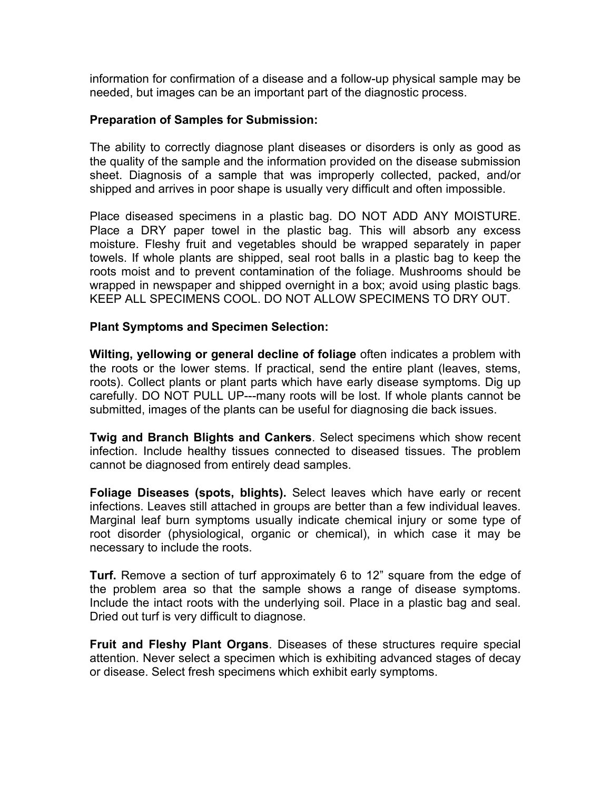information for confirmation of a disease and a follow-up physical sample may be needed, but images can be an important part of the diagnostic process.

#### **Preparation of Samples for Submission:**

The ability to correctly diagnose plant diseases or disorders is only as good as the quality of the sample and the information provided on the disease submission sheet. Diagnosis of a sample that was improperly collected, packed, and/or shipped and arrives in poor shape is usually very difficult and often impossible.

Place diseased specimens in a plastic bag. DO NOT ADD ANY MOISTURE. Place a DRY paper towel in the plastic bag. This will absorb any excess moisture. Fleshy fruit and vegetables should be wrapped separately in paper towels. If whole plants are shipped, seal root balls in a plastic bag to keep the roots moist and to prevent contamination of the foliage. Mushrooms should be wrapped in newspaper and shipped overnight in a box; avoid using plastic bags. KEEP ALL SPECIMENS COOL. DO NOT ALLOW SPECIMENS TO DRY OUT.

#### **Plant Symptoms and Specimen Selection:**

**Wilting, yellowing or general decline of foliage** often indicates a problem with the roots or the lower stems. If practical, send the entire plant (leaves, stems, roots). Collect plants or plant parts which have early disease symptoms. Dig up carefully. DO NOT PULL UP---many roots will be lost. If whole plants cannot be submitted, images of the plants can be useful for diagnosing die back issues.

**Twig and Branch Blights and Cankers**. Select specimens which show recent infection. Include healthy tissues connected to diseased tissues. The problem cannot be diagnosed from entirely dead samples.

**Foliage Diseases (spots, blights).** Select leaves which have early or recent infections. Leaves still attached in groups are better than a few individual leaves. Marginal leaf burn symptoms usually indicate chemical injury or some type of root disorder (physiological, organic or chemical), in which case it may be necessary to include the roots.

**Turf.** Remove a section of turf approximately 6 to 12" square from the edge of the problem area so that the sample shows a range of disease symptoms. Include the intact roots with the underlying soil. Place in a plastic bag and seal. Dried out turf is very difficult to diagnose.

**Fruit and Fleshy Plant Organs**. Diseases of these structures require special attention. Never select a specimen which is exhibiting advanced stages of decay or disease. Select fresh specimens which exhibit early symptoms.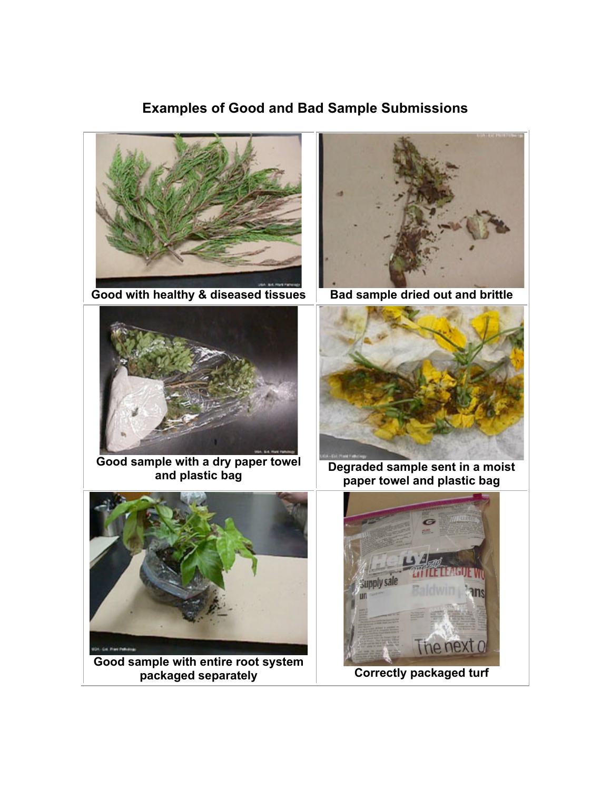# **Examples of Good and Bad Sample Submissions**



Good with healthy & diseased tissues **Bad sample dried out and brittle** 



**Good sample with a dry paper towel** 





**and plastic bag Degraded sample sent in a moist paper towel and plastic bag** 



**Correctly packaged turf** 



**Good sample with entire root system**